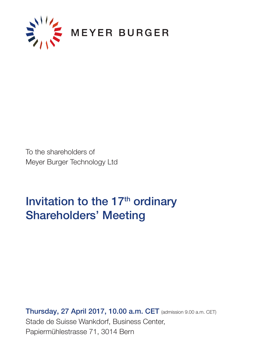

To the shareholders of Meyer Burger Technology Ltd

# Invitation to the 17<sup>th</sup> ordinary Shareholders' Meeting

Thursday, 27 April 2017, 10.00 a.m. CET (admission 9.00 a.m. CET) Stade de Suisse Wankdorf, Business Center, Papiermühlestrasse 71, 3014 Bern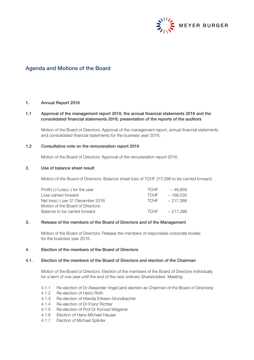

# Agenda and Motions of the Board

## 1. Annual Report 2016

## 1.1 Approval of the management report 2016, the annual financial statements 2016 and the consolidated financial statements 2016; presentation of the reports of the auditors

Motion of the Board of Directors: Approval of the management report, annual financial statements and consolidated financial statements for the business year 2016.

## 1.2 Consultative vote on the remuneration report 2016

Motion of the Board of Directors: Approval of the remuneration report 2016.

## 2. Use of balance sheet result

Motion of the Board of Directors: Balance sheet loss of TCHF 217,388 to be carried forward.

| $Profit(+)/Loss(-)$ for the year  | <b>TCHE</b> | $-48.858$  |
|-----------------------------------|-------------|------------|
| Loss carried forward              | <b>TCHE</b> | $-168.530$ |
| Net loss (-) per 31 December 2016 | <b>TCHE</b> | $-217.388$ |
| Motion of the Board of Directors: |             |            |
| Balance to be carried forward     | <b>TCHE</b> | $-217.388$ |
|                                   |             |            |

#### 3. Release of the members of the Board of Directors and of the Management

Motion of the Board of Directors: Release the members of responsible corporate bodies for the business year 2016.

## 4. Election of the members of the Board of Directors

## 4.1. Election of the members of the Board of Directors and election of the Chairman

Motion of the Board of Directors: Election of the members of the Board of Directors individually for a term of one year until the end of the next ordinary Shareholders' Meeting:

- 4.1.1 Re-election of Dr Alexander Vogel (and election as Chairman of the Board of Directors)
- 4.1.2 Re-election of Heinz Roth
- 4.1.3 Re-election of Wanda Eriksen-Grundbacher
- 4.1.4 Re-election of Dr Franz Richter
- 4.1.5 Re-election of Prof Dr Konrad Wegener
- 4.1.6 Election of Hans-Michael Hauser
- 4.1.7 Election of Michael Splinter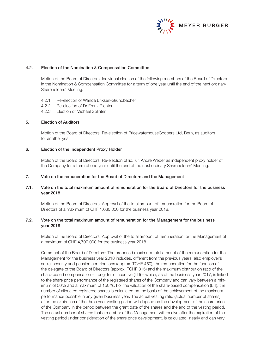

## 4.2. Election of the Nomination & Compensation Committee

Motion of the Board of Directors: Individual election of the following members of the Board of Directors in the Nomination & Compensation Committee for a term of one year until the end of the next ordinary Shareholders' Meeting:

- 4.2.1 Re-election of Wanda Eriksen-Grundbacher
- 4.2.2 Re-election of Dr Franz Richter
- 4.2.3 Election of Michael Splinter

## 5. Election of Auditors

Motion of the Board of Directors: Re-election of PricewaterhouseCoopers Ltd, Bern, as auditors for another year.

## 6. Election of the Independent Proxy Holder

Motion of the Board of Directors: Re-election of lic. iur. André Weber as independent proxy holder of the Company for a term of one year until the end of the next ordinary Shareholders' Meeting.

#### 7. Vote on the remuneration for the Board of Directors and the Management

## 7.1. Vote on the total maximum amount of remuneration for the Board of Directors for the business year 2018

Motion of the Board of Directors: Approval of the total amount of remuneration for the Board of Directors of a maximum of CHF 1,080,000 for the business year 2018.

## 7.2. Vote on the total maximum amount of remuneration for the Management for the business year 2018

Motion of the Board of Directors: Approval of the total amount of remuneration for the Management of a maximum of CHF 4,700,000 for the business year 2018.

Comment of the Board of Directors: The proposed maximum total amount of the remuneration for the Management for the business year 2018 includes, different from the previous years, also employer's social security and pension contributions (approx. TCHF 450), the remuneration for the function of the delegate of the Board of Directors (approx. TCHF 315) and the maximum distribution ratio of the share-based compensation – Long-Term Incentive (LTI) – which, as of the business year 2017, is linked to the share price performance of the registered shares of the Company and can vary between a minimum of 50% and a maximum of 150%. For the valuation of the share-based compensation (LTI), the number of allocated registered shares is calculated on the basis of the achievement of the maximum performance possible in any given business year. The actual vesting ratio (actual number of shares) after the expiration of the three year vesting period will depend on the development of the share price of the Company in the period between the grant date of the shares and the end of the vesting period. The actual number of shares that a member of the Management will receive after the expiration of the vesting period under consideration of the share price development, is calculated linearly and can vary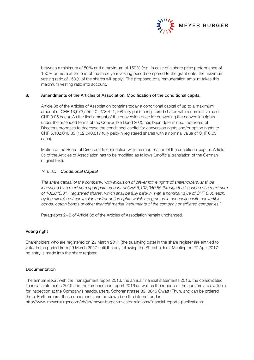

between a minimum of 50% and a maximum of 150% (e.g. in case of a share price performance of 150% or more at the end of the three year vesting period compared to the grant date, the maximum vesting ratio of 150% of the shares will apply). The proposed total remuneration amount takes this maximum vesting ratio into account.

## 8. Amendments of the Articles of Association: Modification of the conditional capital

Article 3c of the Articles of Association contains today a conditional capital of up to a maximum amount of CHF 13,673,555.40 (273,471,108 fully paid-in registered shares with a nominal value of CHF 0.05 each). As the final amount of the conversion price for converting the conversion rights under the amended terms of the Convertible Bond 2020 has been determined, the Board of Directors proposes to decrease the conditional capital for conversion rights and/or option rights to CHF 5,102,040.85 (102,040,817 fully paid-in registered shares with a nominal value of CHF 0.05 each).

Motion of the Board of Directors: In connection with the modification of the conditional capital, Article 3c of the Articles of Association has to be modified as follows (unofficial translation of the German original text):

#### "Art. 3c: Conditional Capital

The share capital of the company, with exclusion of pre-emptive rights of shareholders, shall be increased by a maximum aggregate amount of CHF 5,102,040.85 through the issuance of a maximum of 102,040,817 registered shares, which shall be fully paid-in, with a nominal value of CHF 0.05 each, by the exercise of conversion and/or option rights which are granted in connection with convertible bonds, option bonds or other financial market instruments of the company or affiliated companies."

Paragraphs 2–5 of Article 3c of the Articles of Association remain unchanged.

## Voting right

Shareholders who are registered on 29 March 2017 (the qualifying date) in the share register are entitled to vote. In the period from 29 March 2017 until the day following the Shareholders' Meeting on 27 April 2017 no entry is made into the share register.

## Documentation

The annual report with the management report 2016, the annual financial statements 2016, the consolidated financial statements 2016 and the remuneration report 2016 as well as the reports of the auditors are available for inspection at the Company's headquarters, Schorenstrasse 39, 3645 Gwatt/Thun, and can be ordered there. Furthermore, these documents can be viewed on the internet under http://www.meyerburger.com/ch/en/meyer-burger/investor-relations/financial-reports-publications/.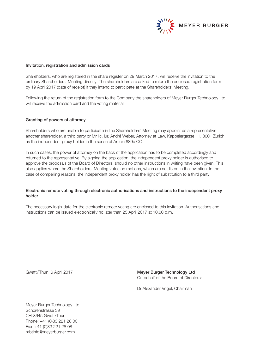

#### Invitation, registration and admission cards

Shareholders, who are registered in the share register on 29 March 2017, will receive the invitation to the ordinary Shareholders' Meeting directly. The shareholders are asked to return the enclosed registration form by 19 April 2017 (date of receipt) if they intend to participate at the Shareholders' Meeting.

Following the return of the registration form to the Company the shareholders of Meyer Burger Technology Ltd will receive the admission card and the voting material.

## Granting of powers of attorney

Shareholders who are unable to participate in the Shareholders' Meeting may appoint as a representative another shareholder, a third party or Mr lic. iur. André Weber, Attorney at Law, Kappelergasse 11, 8001 Zurich, as the independent proxy holder in the sense of Article 689c CO.

In such cases, the power of attorney on the back of the application has to be completed accordingly and returned to the representative. By signing the application, the independent proxy holder is authorised to approve the proposals of the Board of Directors, should no other instructions in writing have been given. This also applies where the Shareholders' Meeting votes on motions, which are not listed in the invitation. In the case of compelling reasons, the independent proxy holder has the right of substitution to a third party.

## Electronic remote voting through electronic authorisations and instructions to the independent proxy holder

The necessary login-data for the electronic remote voting are enclosed to this invitation. Authorisations and instructions can be issued electronically no later than 25 April 2017 at 10.00 p.m.

Gwatt/Thun, 6 April 2017 **Meyer Burger Technology Ltd** On behalf of the Board of Directors:

Dr Alexander Vogel, Chairman

Meyer Burger Technology Ltd Schorenstrasse 39 CH-3645 Gwatt/Thun Phone: +41 (0)33 221 28 00 Fax: +41 (0)33 221 28 08 mbtinfo@meyerburger.com